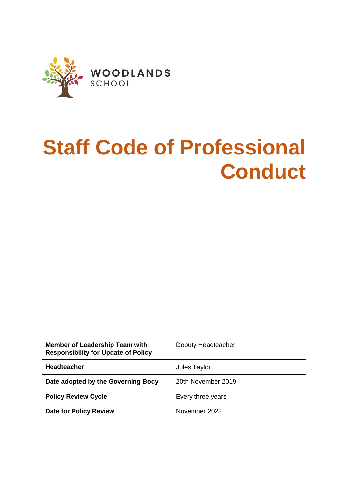

# **Staff Code of Professional Conduct**

| <b>Member of Leadership Team with</b><br><b>Responsibility for Update of Policy</b> | Deputy Headteacher |
|-------------------------------------------------------------------------------------|--------------------|
| <b>Headteacher</b>                                                                  | Jules Taylor       |
| Date adopted by the Governing Body                                                  | 20th November 2019 |
| <b>Policy Review Cycle</b>                                                          | Every three years  |
| <b>Date for Policy Review</b>                                                       | November 2022      |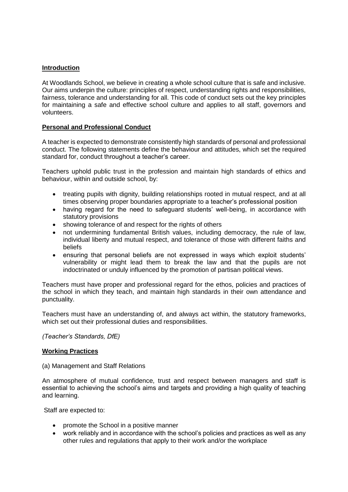## **Introduction**

At Woodlands School, we believe in creating a whole school culture that is safe and inclusive. Our aims underpin the culture: principles of respect, understanding rights and responsibilities, fairness, tolerance and understanding for all. This code of conduct sets out the key principles for maintaining a safe and effective school culture and applies to all staff, governors and volunteers.

## **Personal and Professional Conduct**

A teacher is expected to demonstrate consistently high standards of personal and professional conduct. The following statements define the behaviour and attitudes, which set the required standard for, conduct throughout a teacher's career.

Teachers uphold public trust in the profession and maintain high standards of ethics and behaviour, within and outside school, by:

- treating pupils with dignity, building relationships rooted in mutual respect, and at all times observing proper boundaries appropriate to a teacher's professional position
- having regard for the need to safeguard students' well-being, in accordance with statutory provisions
- showing tolerance of and respect for the rights of others
- not undermining fundamental British values, including democracy, the rule of law, individual liberty and mutual respect, and tolerance of those with different faiths and beliefs
- ensuring that personal beliefs are not expressed in ways which exploit students' vulnerability or might lead them to break the law and that the pupils are not indoctrinated or unduly influenced by the promotion of partisan political views.

Teachers must have proper and professional regard for the ethos, policies and practices of the school in which they teach, and maintain high standards in their own attendance and punctuality.

Teachers must have an understanding of, and always act within, the statutory frameworks, which set out their professional duties and responsibilities.

*(Teacher's Standards, DfE)*

## **Working Practices**

(a) Management and Staff Relations

An atmosphere of mutual confidence, trust and respect between managers and staff is essential to achieving the school's aims and targets and providing a high quality of teaching and learning.

Staff are expected to:

- promote the School in a positive manner
- work reliably and in accordance with the school's policies and practices as well as any other rules and regulations that apply to their work and/or the workplace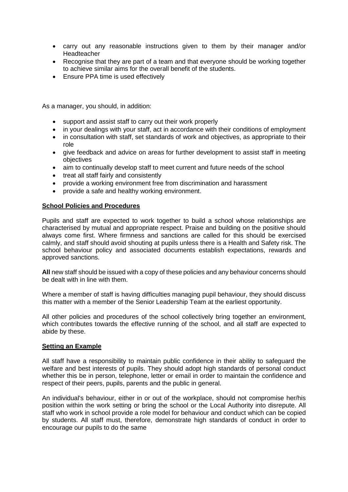- carry out any reasonable instructions given to them by their manager and/or Headteacher
- Recognise that they are part of a team and that everyone should be working together to achieve similar aims for the overall benefit of the students.
- Ensure PPA time is used effectively

As a manager, you should, in addition:

- support and assist staff to carry out their work properly
- in your dealings with your staff, act in accordance with their conditions of employment
- in consultation with staff, set standards of work and objectives, as appropriate to their role
- give feedback and advice on areas for further development to assist staff in meeting objectives
- aim to continually develop staff to meet current and future needs of the school
- treat all staff fairly and consistently
- provide a working environment free from discrimination and harassment
- provide a safe and healthy working environment.

#### **School Policies and Procedures**

Pupils and staff are expected to work together to build a school whose relationships are characterised by mutual and appropriate respect. Praise and building on the positive should always come first. Where firmness and sanctions are called for this should be exercised calmly, and staff should avoid shouting at pupils unless there is a Health and Safety risk. The school behaviour policy and associated documents establish expectations, rewards and approved sanctions.

**All** new staff should be issued with a copy of these policies and any behaviour concerns should be dealt with in line with them.

Where a member of staff is having difficulties managing pupil behaviour, they should discuss this matter with a member of the Senior Leadership Team at the earliest opportunity.

All other policies and procedures of the school collectively bring together an environment, which contributes towards the effective running of the school, and all staff are expected to abide by these.

#### **Setting an Example**

All staff have a responsibility to maintain public confidence in their ability to safeguard the welfare and best interests of pupils. They should adopt high standards of personal conduct whether this be in person, telephone, letter or email in order to maintain the confidence and respect of their peers, pupils, parents and the public in general.

An individual's behaviour, either in or out of the workplace, should not compromise her/his position within the work setting or bring the school or the Local Authority into disrepute. All staff who work in school provide a role model for behaviour and conduct which can be copied by students. All staff must, therefore, demonstrate high standards of conduct in order to encourage our pupils to do the same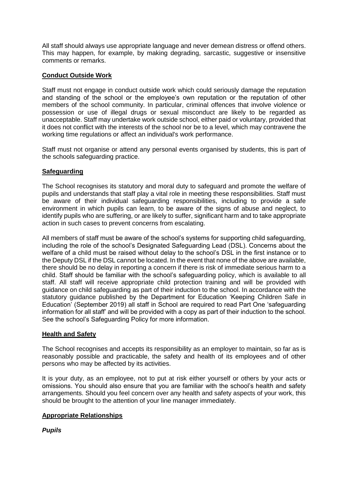All staff should always use appropriate language and never demean distress or offend others. This may happen, for example, by making degrading, sarcastic, suggestive or insensitive comments or remarks.

# **Conduct Outside Work**

Staff must not engage in conduct outside work which could seriously damage the reputation and standing of the school or the employee's own reputation or the reputation of other members of the school community. In particular, criminal offences that involve violence or possession or use of illegal drugs or sexual misconduct are likely to be regarded as unacceptable. Staff may undertake work outside school, either paid or voluntary, provided that it does not conflict with the interests of the school nor be to a level, which may contravene the working time regulations or affect an individual's work performance.

Staff must not organise or attend any personal events organised by students, this is part of the schools safeguarding practice.

# **Safeguarding**

The School recognises its statutory and moral duty to safeguard and promote the welfare of pupils and understands that staff play a vital role in meeting these responsibilities. Staff must be aware of their individual safeguarding responsibilities, including to provide a safe environment in which pupils can learn, to be aware of the signs of abuse and neglect, to identify pupils who are suffering, or are likely to suffer, significant harm and to take appropriate action in such cases to prevent concerns from escalating.

All members of staff must be aware of the school's systems for supporting child safeguarding, including the role of the school's Designated Safeguarding Lead (DSL). Concerns about the welfare of a child must be raised without delay to the school's DSL in the first instance or to the Deputy DSL if the DSL cannot be located. In the event that none of the above are available, there should be no delay in reporting a concern if there is risk of immediate serious harm to a child. Staff should be familiar with the school's safeguarding policy, which is available to all staff. All staff will receive appropriate child protection training and will be provided with guidance on child safeguarding as part of their induction to the school. In accordance with the statutory guidance published by the Department for Education 'Keeping Children Safe in Education' (September 2019) all staff in School are required to read Part One 'safeguarding information for all staff' and will be provided with a copy as part of their induction to the school. See the school's Safeguarding Policy for more information.

## **Health and Safety**

The School recognises and accepts its responsibility as an employer to maintain, so far as is reasonably possible and practicable, the safety and health of its employees and of other persons who may be affected by its activities.

It is your duty, as an employee, not to put at risk either yourself or others by your acts or omissions. You should also ensure that you are familiar with the school's health and safety arrangements. Should you feel concern over any health and safety aspects of your work, this should be brought to the attention of your line manager immediately.

## **Appropriate Relationships**

*Pupils*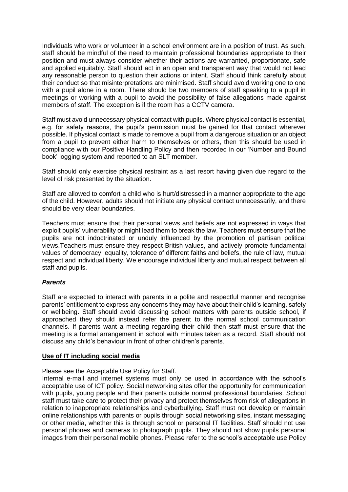Individuals who work or volunteer in a school environment are in a position of trust. As such, staff should be mindful of the need to maintain professional boundaries appropriate to their position and must always consider whether their actions are warranted, proportionate, safe and applied equitably. Staff should act in an open and transparent way that would not lead any reasonable person to question their actions or intent. Staff should think carefully about their conduct so that misinterpretations are minimised. Staff should avoid working one to one with a pupil alone in a room. There should be two members of staff speaking to a pupil in meetings or working with a pupil to avoid the possibility of false allegations made against members of staff. The exception is if the room has a CCTV camera.

Staff must avoid unnecessary physical contact with pupils. Where physical contact is essential, e.g. for safety reasons, the pupil's permission must be gained for that contact wherever possible. If physical contact is made to remove a pupil from a dangerous situation or an object from a pupil to prevent either harm to themselves or others, then this should be used in compliance with our Positive Handling Policy and then recorded in our 'Number and Bound book' logging system and reported to an SLT member.

Staff should only exercise physical restraint as a last resort having given due regard to the level of risk presented by the situation.

Staff are allowed to comfort a child who is hurt/distressed in a manner appropriate to the age of the child. However, adults should not initiate any physical contact unnecessarily, and there should be very clear boundaries.

Teachers must ensure that their personal views and beliefs are not expressed in ways that exploit pupils' vulnerability or might lead them to break the law. Teachers must ensure that the pupils are not indoctrinated or unduly influenced by the promotion of partisan political views.Teachers must ensure they respect British values, and actively promote fundamental values of democracy, equality, tolerance of different faiths and beliefs, the rule of law, mutual respect and individual liberty. We encourage individual liberty and mutual respect between all staff and pupils.

## *Parents*

Staff are expected to interact with parents in a polite and respectful manner and recognise parents' entitlement to express any concerns they may have about their child's learning, safety or wellbeing. Staff should avoid discussing school matters with parents outside school, if approached they should instead refer the parent to the normal school communication channels. If parents want a meeting regarding their child then staff must ensure that the meeting is a formal arrangement in school with minutes taken as a record. Staff should not discuss any child's behaviour in front of other children's parents.

#### **Use of IT including social media**

Please see the Acceptable Use Policy for Staff.

Internal e-mail and internet systems must only be used in accordance with the school's acceptable use of ICT policy. Social networking sites offer the opportunity for communication with pupils, young people and their parents outside normal professional boundaries. School staff must take care to protect their privacy and protect themselves from risk of allegations in relation to inappropriate relationships and cyberbullying. Staff must not develop or maintain online relationships with parents or pupils through social networking sites, instant messaging or other media, whether this is through school or personal IT facilities. Staff should not use personal phones and cameras to photograph pupils. They should not show pupils personal images from their personal mobile phones. Please refer to the school's acceptable use Policy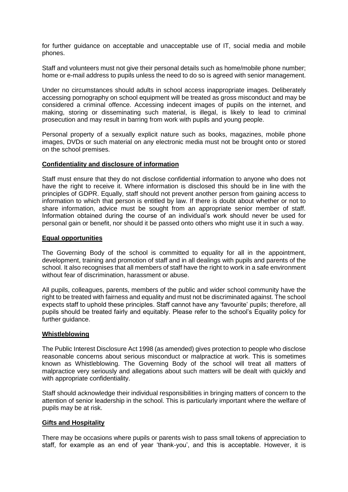for further guidance on acceptable and unacceptable use of IT, social media and mobile phones.

Staff and volunteers must not give their personal details such as home/mobile phone number; home or e-mail address to pupils unless the need to do so is agreed with senior management.

Under no circumstances should adults in school access inappropriate images. Deliberately accessing pornography on school equipment will be treated as gross misconduct and may be considered a criminal offence. Accessing indecent images of pupils on the internet, and making, storing or disseminating such material, is illegal, is likely to lead to criminal prosecution and may result in barring from work with pupils and young people.

Personal property of a sexually explicit nature such as books, magazines, mobile phone images, DVDs or such material on any electronic media must not be brought onto or stored on the school premises.

#### **Confidentiality and disclosure of information**

Staff must ensure that they do not disclose confidential information to anyone who does not have the right to receive it. Where information is disclosed this should be in line with the principles of GDPR. Equally, staff should not prevent another person from gaining access to information to which that person is entitled by law. If there is doubt about whether or not to share information, advice must be sought from an appropriate senior member of staff. Information obtained during the course of an individual's work should never be used for personal gain or benefit, nor should it be passed onto others who might use it in such a way.

## **Equal opportunities**

The Governing Body of the school is committed to equality for all in the appointment, development, training and promotion of staff and in all dealings with pupils and parents of the school. It also recognises that all members of staff have the right to work in a safe environment without fear of discrimination, harassment or abuse.

All pupils, colleagues, parents, members of the public and wider school community have the right to be treated with fairness and equality and must not be discriminated against. The school expects staff to uphold these principles. Staff cannot have any 'favourite' pupils; therefore, all pupils should be treated fairly and equitably. Please refer to the school's Equality policy for further guidance.

#### **Whistleblowing**

The Public Interest Disclosure Act 1998 (as amended) gives protection to people who disclose reasonable concerns about serious misconduct or malpractice at work. This is sometimes known as Whistleblowing. The Governing Body of the school will treat all matters of malpractice very seriously and allegations about such matters will be dealt with quickly and with appropriate confidentiality.

Staff should acknowledge their individual responsibilities in bringing matters of concern to the attention of senior leadership in the school. This is particularly important where the welfare of pupils may be at risk.

#### **Gifts and Hospitality**

There may be occasions where pupils or parents wish to pass small tokens of appreciation to staff, for example as an end of year 'thank-you', and this is acceptable. However, it is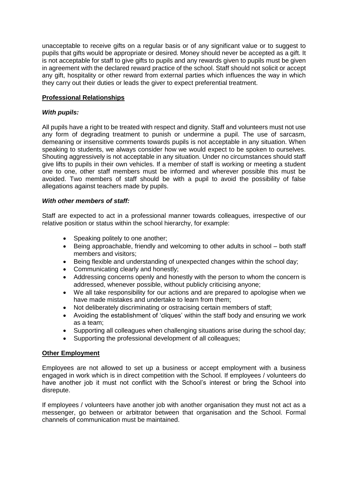unacceptable to receive gifts on a regular basis or of any significant value or to suggest to pupils that gifts would be appropriate or desired. Money should never be accepted as a gift. It is not acceptable for staff to give gifts to pupils and any rewards given to pupils must be given in agreement with the declared reward practice of the school. Staff should not solicit or accept any gift, hospitality or other reward from external parties which influences the way in which they carry out their duties or leads the giver to expect preferential treatment.

## **Professional Relationships**

## *With pupils:*

All pupils have a right to be treated with respect and dignity. Staff and volunteers must not use any form of degrading treatment to punish or undermine a pupil. The use of sarcasm, demeaning or insensitive comments towards pupils is not acceptable in any situation. When speaking to students, we always consider how we would expect to be spoken to ourselves. Shouting aggressively is not acceptable in any situation. Under no circumstances should staff give lifts to pupils in their own vehicles. If a member of staff is working or meeting a student one to one, other staff members must be informed and wherever possible this must be avoided. Two members of staff should be with a pupil to avoid the possibility of false allegations against teachers made by pupils.

## *With other members of staff:*

Staff are expected to act in a professional manner towards colleagues, irrespective of our relative position or status within the school hierarchy, for example:

- Speaking politely to one another;
- Being approachable, friendly and welcoming to other adults in school both staff members and visitors;
- Being flexible and understanding of unexpected changes within the school day;
- Communicating clearly and honestly;
- Addressing concerns openly and honestly with the person to whom the concern is addressed, whenever possible, without publicly criticising anyone;
- We all take responsibility for our actions and are prepared to apologise when we have made mistakes and undertake to learn from them;
- Not deliberately discriminating or ostracising certain members of staff;
- Avoiding the establishment of 'cliques' within the staff body and ensuring we work as a team;
- Supporting all colleagues when challenging situations arise during the school day;
- Supporting the professional development of all colleagues;

#### **Other Employment**

Employees are not allowed to set up a business or accept employment with a business engaged in work which is in direct competition with the School. If employees / volunteers do have another job it must not conflict with the School's interest or bring the School into disrepute.

If employees / volunteers have another job with another organisation they must not act as a messenger, go between or arbitrator between that organisation and the School. Formal channels of communication must be maintained.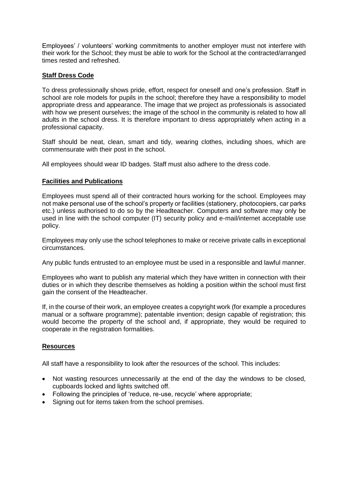Employees' / volunteers' working commitments to another employer must not interfere with their work for the School; they must be able to work for the School at the contracted/arranged times rested and refreshed.

## **Staff Dress Code**

To dress professionally shows pride, effort, respect for oneself and one's profession. Staff in school are role models for pupils in the school; therefore they have a responsibility to model appropriate dress and appearance. The image that we project as professionals is associated with how we present ourselves; the image of the school in the community is related to how all adults in the school dress. It is therefore important to dress appropriately when acting in a professional capacity.

Staff should be neat, clean, smart and tidy, wearing clothes, including shoes, which are commensurate with their post in the school.

All employees should wear ID badges. Staff must also adhere to the dress code.

## **Facilities and Publications**

Employees must spend all of their contracted hours working for the school. Employees may not make personal use of the school's property or facilities (stationery, photocopiers, car parks etc.) unless authorised to do so by the Headteacher. Computers and software may only be used in line with the school computer (IT) security policy and e-mail/internet acceptable use policy.

Employees may only use the school telephones to make or receive private calls in exceptional circumstances.

Any public funds entrusted to an employee must be used in a responsible and lawful manner.

Employees who want to publish any material which they have written in connection with their duties or in which they describe themselves as holding a position within the school must first gain the consent of the Headteacher.

If, in the course of their work, an employee creates a copyright work (for example a procedures manual or a software programme); patentable invention; design capable of registration; this would become the property of the school and, if appropriate, they would be required to cooperate in the registration formalities.

## **Resources**

All staff have a responsibility to look after the resources of the school. This includes:

- Not wasting resources unnecessarily at the end of the day the windows to be closed, cupboards locked and lights switched off.
- Following the principles of 'reduce, re-use, recycle' where appropriate;
- Signing out for items taken from the school premises.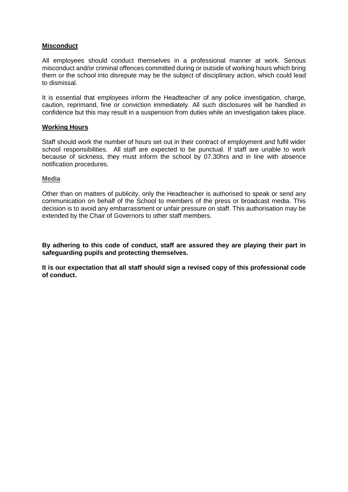## **Misconduct**

All employees should conduct themselves in a professional manner at work. Serious misconduct and/or criminal offences committed during or outside of working hours which bring them or the school into disrepute may be the subject of disciplinary action, which could lead to dismissal.

It is essential that employees inform the Headteacher of any police investigation, charge, caution, reprimand, fine or conviction immediately. All such disclosures will be handled in confidence but this may result in a suspension from duties while an investigation takes place.

## **Working Hours**

Staff should work the number of hours set out in their contract of employment and fulfil wider school responsibilities. All staff are expected to be punctual. If staff are unable to work because of sickness, they must inform the school by 07.30hrs and in line with absence notification procedures.

#### **Media**

Other than on matters of publicity, only the Headteacher is authorised to speak or send any communication on behalf of the School to members of the press or broadcast media. This decision is to avoid any embarrassment or unfair pressure on staff. This authorisation may be extended by the Chair of Governors to other staff members.

**By adhering to this code of conduct, staff are assured they are playing their part in safeguarding pupils and protecting themselves.**

**It is our expectation that all staff should sign a revised copy of this professional code of conduct.**